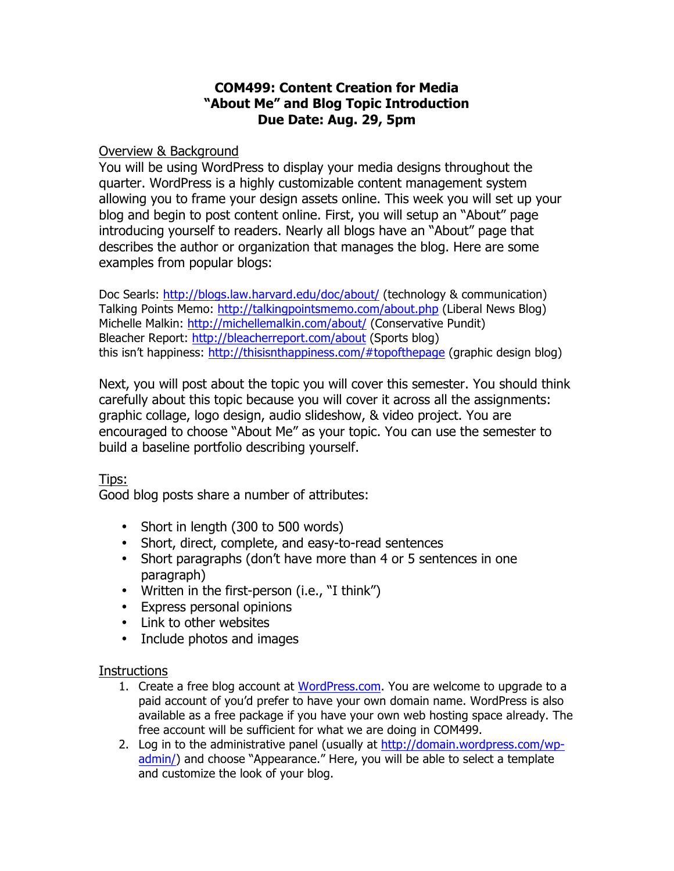## **COM499: Content Creation for Media "About Me" and Blog Topic Introduction Due Date: Aug. 29, 5pm**

## Overview & Background

You will be using WordPress to display your media designs throughout the quarter. WordPress is a highly customizable content management system allowing you to frame your design assets online. This week you will set up your blog and begin to post content online. First, you will setup an "About" page introducing yourself to readers. Nearly all blogs have an "About" page that describes the author or organization that manages the blog. Here are some examples from popular blogs:

Doc Searls: http://blogs.law.harvard.edu/doc/about/ (technology & communication) Talking Points Memo: http://talkingpointsmemo.com/about.php (Liberal News Blog) Michelle Malkin: http://michellemalkin.com/about/ (Conservative Pundit) Bleacher Report: http://bleacherreport.com/about (Sports blog) this isn't happiness: http://thisisnthappiness.com/#topofthepage (graphic design blog)

Next, you will post about the topic you will cover this semester. You should think carefully about this topic because you will cover it across all the assignments: graphic collage, logo design, audio slideshow, & video project. You are encouraged to choose "About Me" as your topic. You can use the semester to build a baseline portfolio describing yourself.

Tips:

Good blog posts share a number of attributes:

- Short in length (300 to 500 words)
- Short, direct, complete, and easy-to-read sentences
- Short paragraphs (don't have more than 4 or 5 sentences in one paragraph)
- Written in the first-person (i.e., "I think")
- Express personal opinions
- Link to other websites
- Include photos and images

## **Instructions**

- 1. Create a free blog account at WordPress.com. You are welcome to upgrade to a paid account of you'd prefer to have your own domain name. WordPress is also available as a free package if you have your own web hosting space already. The free account will be sufficient for what we are doing in COM499.
- 2. Log in to the administrative panel (usually at http://domain.wordpress.com/wpadmin/) and choose "Appearance." Here, you will be able to select a template and customize the look of your blog.